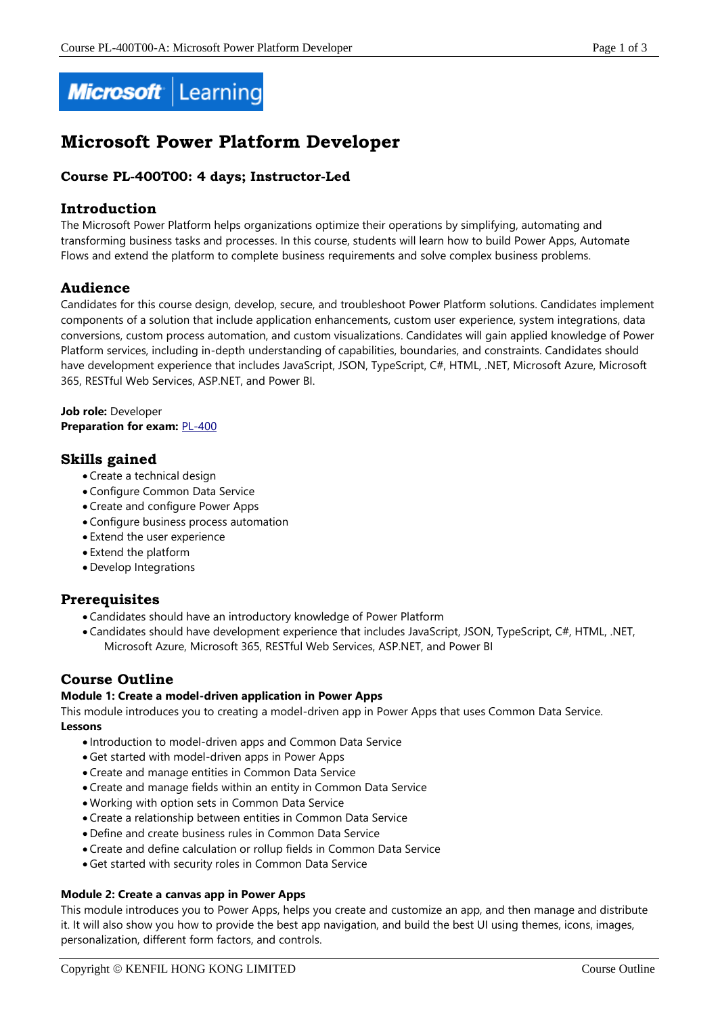

# **Microsoft Power Platform Developer**

# **Course PL-400T00: 4 days; Instructor-Led**

# **Introduction**

The Microsoft Power Platform helps organizations optimize their operations by simplifying, automating and transforming business tasks and processes. In this course, students will learn how to build Power Apps, Automate Flows and extend the platform to complete business requirements and solve complex business problems.

# **Audience**

Candidates for this course design, develop, secure, and troubleshoot Power Platform solutions. Candidates implement components of a solution that include application enhancements, custom user experience, system integrations, data conversions, custom process automation, and custom visualizations. Candidates will gain applied knowledge of Power Platform services, including in-depth understanding of capabilities, boundaries, and constraints. Candidates should have development experience that includes JavaScript, JSON, TypeScript, C#, HTML, .NET, Microsoft Azure, Microsoft 365, RESTful Web Services, ASP.NET, and Power BI.

**Job role:** Developer **Preparation for exam: [PL-400](https://docs.microsoft.com/en-us/learn/certifications/exams/pl-400)** 

# **Skills gained**

- Create a technical design
- Configure Common Data Service
- Create and configure Power Apps
- Configure business process automation
- Extend the user experience
- Extend the platform
- Develop Integrations

# **Prerequisites**

- Candidates should have an introductory knowledge of Power Platform
- Candidates should have development experience that includes JavaScript, JSON, TypeScript, C#, HTML, .NET, Microsoft Azure, Microsoft 365, RESTful Web Services, ASP.NET, and Power BI

# **Course Outline**

# **Module 1: Create a model-driven application in Power Apps**

This module introduces you to creating a model-driven app in Power Apps that uses Common Data Service. **Lessons**

- Introduction to model-driven apps and Common Data Service
- Get started with model-driven apps in Power Apps
- Create and manage entities in Common Data Service
- Create and manage fields within an entity in Common Data Service
- Working with option sets in Common Data Service
- Create a relationship between entities in Common Data Service
- Define and create business rules in Common Data Service
- Create and define calculation or rollup fields in Common Data Service
- Get started with security roles in Common Data Service

#### **Module 2: Create a canvas app in Power Apps**

This module introduces you to Power Apps, helps you create and customize an app, and then manage and distribute it. It will also show you how to provide the best app navigation, and build the best UI using themes, icons, images, personalization, different form factors, and controls.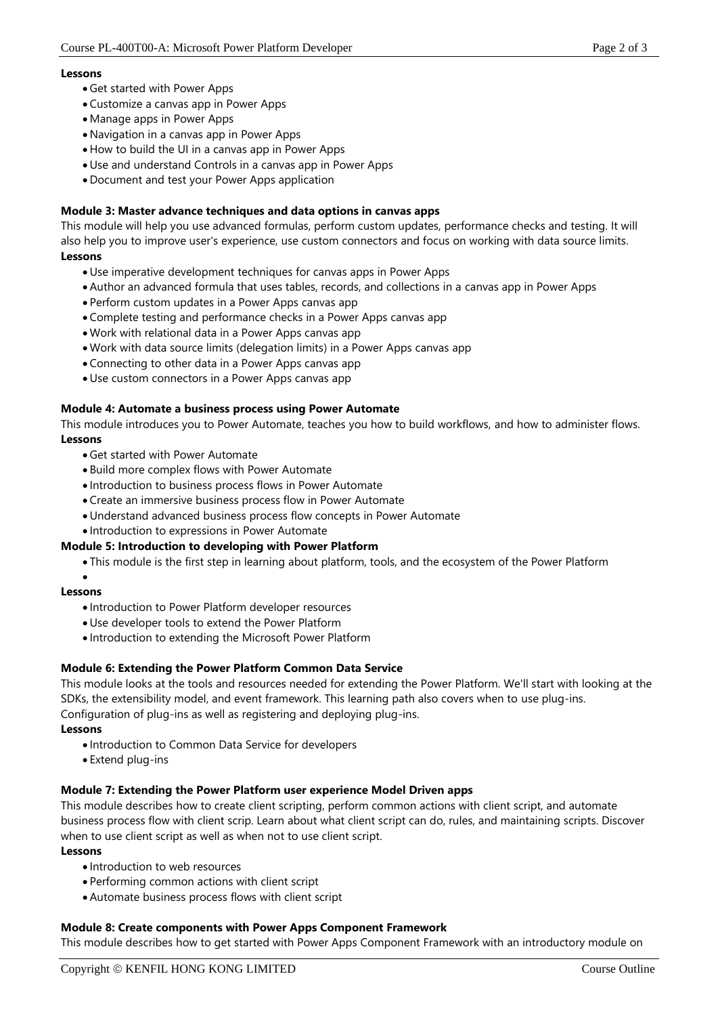### **Lessons**

- Get started with Power Apps
- Customize a canvas app in Power Apps
- Manage apps in Power Apps
- Navigation in a canvas app in Power Apps
- How to build the UI in a canvas app in Power Apps
- Use and understand Controls in a canvas app in Power Apps
- Document and test your Power Apps application

# **Module 3: Master advance techniques and data options in canvas apps**

This module will help you use advanced formulas, perform custom updates, performance checks and testing. It will also help you to improve user's experience, use custom connectors and focus on working with data source limits. **Lessons**

- Use imperative development techniques for canvas apps in Power Apps
- Author an advanced formula that uses tables, records, and collections in a canvas app in Power Apps
- Perform custom updates in a Power Apps canvas app
- Complete testing and performance checks in a Power Apps canvas app
- Work with relational data in a Power Apps canvas app
- Work with data source limits (delegation limits) in a Power Apps canvas app
- Connecting to other data in a Power Apps canvas app
- Use custom connectors in a Power Apps canvas app

# **Module 4: Automate a business process using Power Automate**

This module introduces you to Power Automate, teaches you how to build workflows, and how to administer flows. **Lessons**

- Get started with Power Automate
- Build more complex flows with Power Automate
- Introduction to business process flows in Power Automate
- Create an immersive business process flow in Power Automate
- Understand advanced business process flow concepts in Power Automate
- Introduction to expressions in Power Automate

# **Module 5: Introduction to developing with Power Platform**

- This module is the first step in learning about platform, tools, and the ecosystem of the Power Platform
- •

#### **Lessons**

- Introduction to Power Platform developer resources
- Use developer tools to extend the Power Platform
- Introduction to extending the Microsoft Power Platform

# **Module 6: Extending the Power Platform Common Data Service**

This module looks at the tools and resources needed for extending the Power Platform. We'll start with looking at the SDKs, the extensibility model, and event framework. This learning path also covers when to use plug-ins. Configuration of plug-ins as well as registering and deploying plug-ins.

#### **Lessons**

- Introduction to Common Data Service for developers
- Extend plug-ins

# **Module 7: Extending the Power Platform user experience Model Driven apps**

This module describes how to create client scripting, perform common actions with client script, and automate business process flow with client scrip. Learn about what client script can do, rules, and maintaining scripts. Discover when to use client script as well as when not to use client script.

### **Lessons**

- Introduction to web resources
- Performing common actions with client script
- Automate business process flows with client script

# **Module 8: Create components with Power Apps Component Framework**

This module describes how to get started with Power Apps Component Framework with an introductory module on